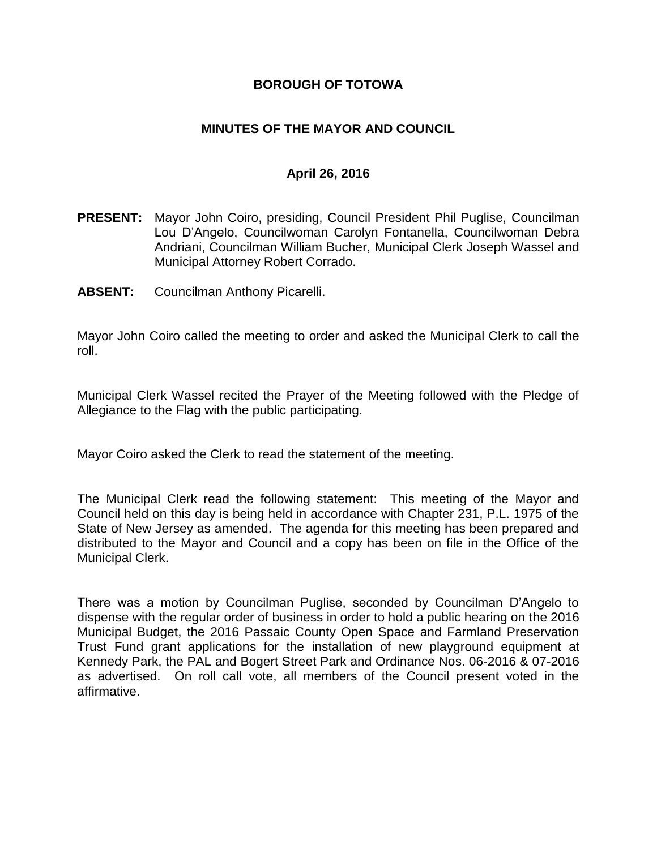### **BOROUGH OF TOTOWA**

### **MINUTES OF THE MAYOR AND COUNCIL**

#### **April 26, 2016**

- **PRESENT:** Mayor John Coiro, presiding, Council President Phil Puglise, Councilman Lou D'Angelo, Councilwoman Carolyn Fontanella, Councilwoman Debra Andriani, Councilman William Bucher, Municipal Clerk Joseph Wassel and Municipal Attorney Robert Corrado.
- **ABSENT:** Councilman Anthony Picarelli.

Mayor John Coiro called the meeting to order and asked the Municipal Clerk to call the roll.

Municipal Clerk Wassel recited the Prayer of the Meeting followed with the Pledge of Allegiance to the Flag with the public participating.

Mayor Coiro asked the Clerk to read the statement of the meeting.

The Municipal Clerk read the following statement: This meeting of the Mayor and Council held on this day is being held in accordance with Chapter 231, P.L. 1975 of the State of New Jersey as amended. The agenda for this meeting has been prepared and distributed to the Mayor and Council and a copy has been on file in the Office of the Municipal Clerk.

There was a motion by Councilman Puglise, seconded by Councilman D'Angelo to dispense with the regular order of business in order to hold a public hearing on the 2016 Municipal Budget, the 2016 Passaic County Open Space and Farmland Preservation Trust Fund grant applications for the installation of new playground equipment at Kennedy Park, the PAL and Bogert Street Park and Ordinance Nos. 06-2016 & 07-2016 as advertised. On roll call vote, all members of the Council present voted in the affirmative.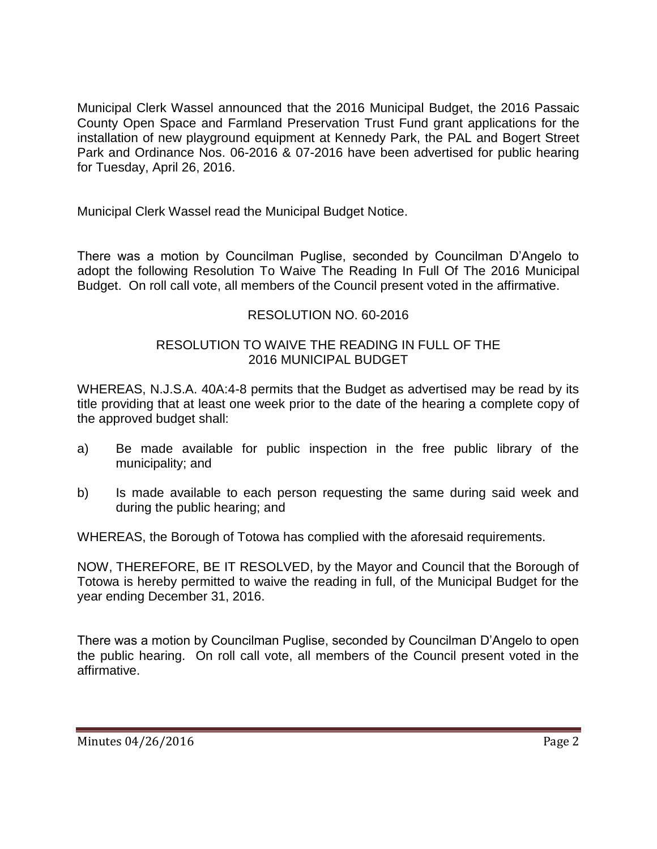Municipal Clerk Wassel announced that the 2016 Municipal Budget, the 2016 Passaic County Open Space and Farmland Preservation Trust Fund grant applications for the installation of new playground equipment at Kennedy Park, the PAL and Bogert Street Park and Ordinance Nos. 06-2016 & 07-2016 have been advertised for public hearing for Tuesday, April 26, 2016.

Municipal Clerk Wassel read the Municipal Budget Notice.

There was a motion by Councilman Puglise, seconded by Councilman D'Angelo to adopt the following Resolution To Waive The Reading In Full Of The 2016 Municipal Budget. On roll call vote, all members of the Council present voted in the affirmative.

# RESOLUTION NO. 60-2016

# RESOLUTION TO WAIVE THE READING IN FULL OF THE 2016 MUNICIPAL BUDGET

WHEREAS, N.J.S.A. 40A:4-8 permits that the Budget as advertised may be read by its title providing that at least one week prior to the date of the hearing a complete copy of the approved budget shall:

- a) Be made available for public inspection in the free public library of the municipality; and
- b) Is made available to each person requesting the same during said week and during the public hearing; and

WHEREAS, the Borough of Totowa has complied with the aforesaid requirements.

NOW, THEREFORE, BE IT RESOLVED, by the Mayor and Council that the Borough of Totowa is hereby permitted to waive the reading in full, of the Municipal Budget for the year ending December 31, 2016.

There was a motion by Councilman Puglise, seconded by Councilman D'Angelo to open the public hearing. On roll call vote, all members of the Council present voted in the affirmative.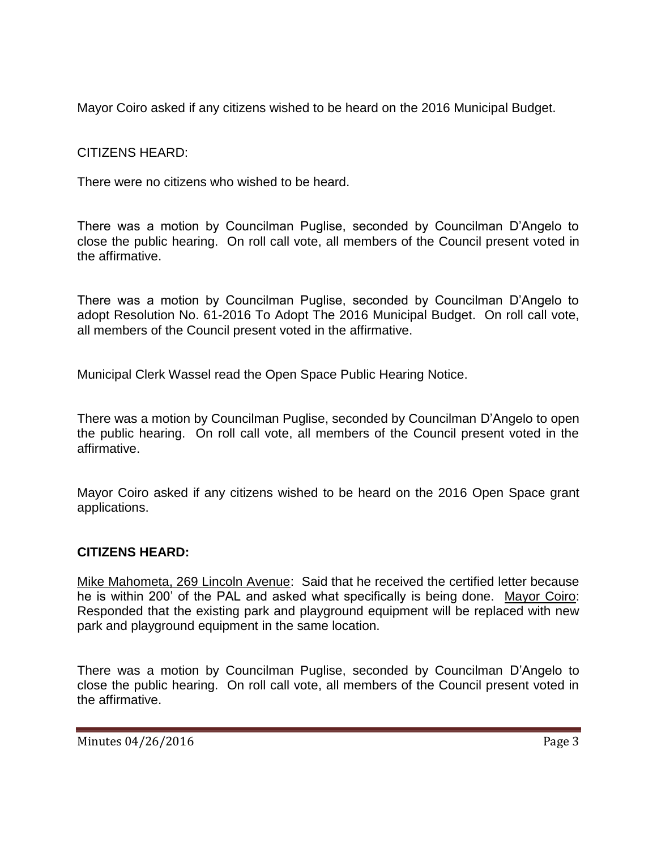Mayor Coiro asked if any citizens wished to be heard on the 2016 Municipal Budget.

CITIZENS HEARD:

There were no citizens who wished to be heard.

There was a motion by Councilman Puglise, seconded by Councilman D'Angelo to close the public hearing. On roll call vote, all members of the Council present voted in the affirmative.

There was a motion by Councilman Puglise, seconded by Councilman D'Angelo to adopt Resolution No. 61-2016 To Adopt The 2016 Municipal Budget. On roll call vote, all members of the Council present voted in the affirmative.

Municipal Clerk Wassel read the Open Space Public Hearing Notice.

There was a motion by Councilman Puglise, seconded by Councilman D'Angelo to open the public hearing. On roll call vote, all members of the Council present voted in the affirmative.

Mayor Coiro asked if any citizens wished to be heard on the 2016 Open Space grant applications.

# **CITIZENS HEARD:**

Mike Mahometa, 269 Lincoln Avenue: Said that he received the certified letter because he is within 200' of the PAL and asked what specifically is being done. Mayor Coiro: Responded that the existing park and playground equipment will be replaced with new park and playground equipment in the same location.

There was a motion by Councilman Puglise, seconded by Councilman D'Angelo to close the public hearing. On roll call vote, all members of the Council present voted in the affirmative.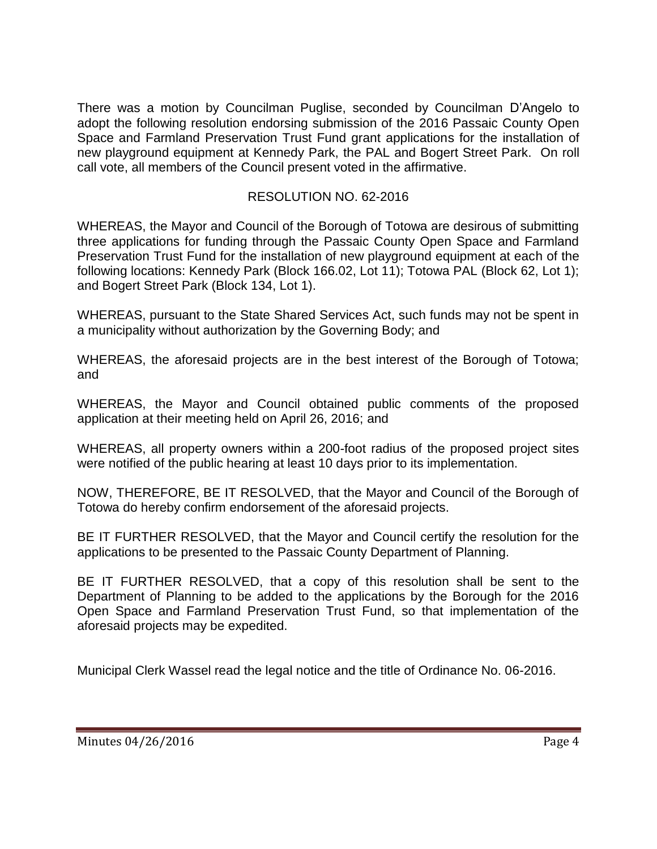There was a motion by Councilman Puglise, seconded by Councilman D'Angelo to adopt the following resolution endorsing submission of the 2016 Passaic County Open Space and Farmland Preservation Trust Fund grant applications for the installation of new playground equipment at Kennedy Park, the PAL and Bogert Street Park. On roll call vote, all members of the Council present voted in the affirmative.

# RESOLUTION NO. 62-2016

WHEREAS, the Mayor and Council of the Borough of Totowa are desirous of submitting three applications for funding through the Passaic County Open Space and Farmland Preservation Trust Fund for the installation of new playground equipment at each of the following locations: Kennedy Park (Block 166.02, Lot 11); Totowa PAL (Block 62, Lot 1); and Bogert Street Park (Block 134, Lot 1).

WHEREAS, pursuant to the State Shared Services Act, such funds may not be spent in a municipality without authorization by the Governing Body; and

WHEREAS, the aforesaid projects are in the best interest of the Borough of Totowa; and

WHEREAS, the Mayor and Council obtained public comments of the proposed application at their meeting held on April 26, 2016; and

WHEREAS, all property owners within a 200-foot radius of the proposed project sites were notified of the public hearing at least 10 days prior to its implementation.

NOW, THEREFORE, BE IT RESOLVED, that the Mayor and Council of the Borough of Totowa do hereby confirm endorsement of the aforesaid projects.

BE IT FURTHER RESOLVED, that the Mayor and Council certify the resolution for the applications to be presented to the Passaic County Department of Planning.

BE IT FURTHER RESOLVED, that a copy of this resolution shall be sent to the Department of Planning to be added to the applications by the Borough for the 2016 Open Space and Farmland Preservation Trust Fund, so that implementation of the aforesaid projects may be expedited.

Municipal Clerk Wassel read the legal notice and the title of Ordinance No. 06-2016.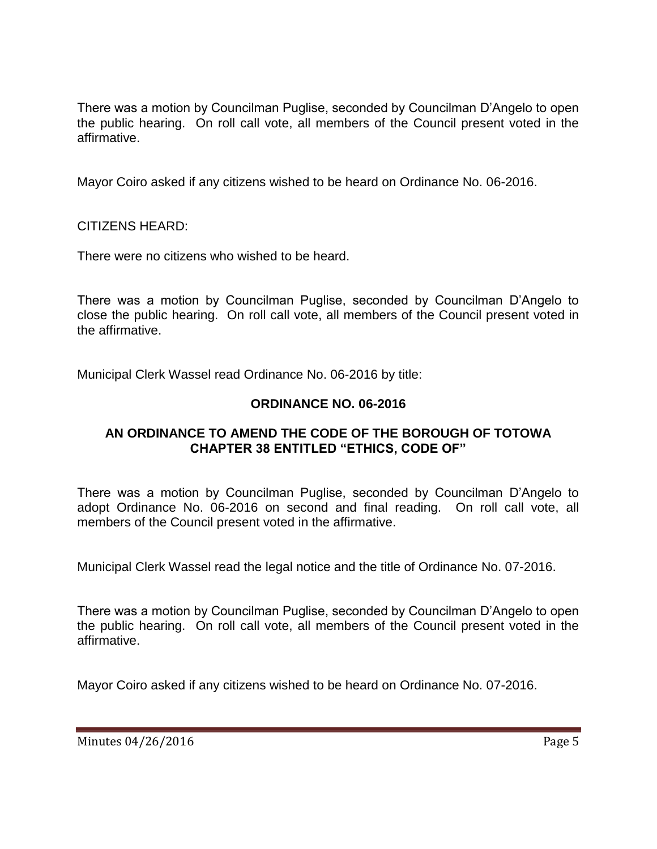There was a motion by Councilman Puglise, seconded by Councilman D'Angelo to open the public hearing. On roll call vote, all members of the Council present voted in the affirmative.

Mayor Coiro asked if any citizens wished to be heard on Ordinance No. 06-2016.

CITIZENS HEARD:

There were no citizens who wished to be heard.

There was a motion by Councilman Puglise, seconded by Councilman D'Angelo to close the public hearing. On roll call vote, all members of the Council present voted in the affirmative.

Municipal Clerk Wassel read Ordinance No. 06-2016 by title:

## **ORDINANCE NO. 06-2016**

#### **AN ORDINANCE TO AMEND THE CODE OF THE BOROUGH OF TOTOWA CHAPTER 38 ENTITLED "ETHICS, CODE OF"**

There was a motion by Councilman Puglise, seconded by Councilman D'Angelo to adopt Ordinance No. 06-2016 on second and final reading. On roll call vote, all members of the Council present voted in the affirmative.

Municipal Clerk Wassel read the legal notice and the title of Ordinance No. 07-2016.

There was a motion by Councilman Puglise, seconded by Councilman D'Angelo to open the public hearing. On roll call vote, all members of the Council present voted in the affirmative.

Mayor Coiro asked if any citizens wished to be heard on Ordinance No. 07-2016.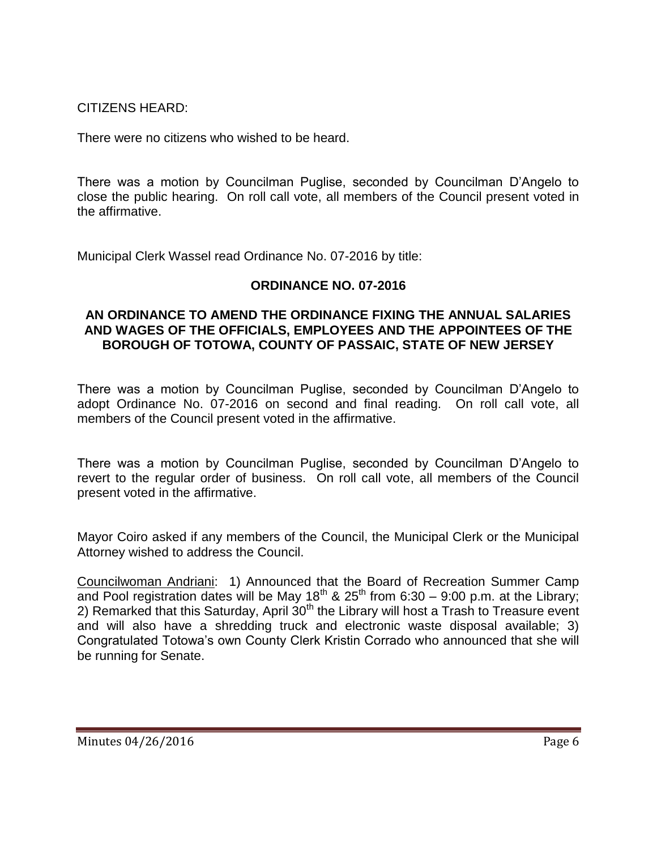CITIZENS HEARD:

There were no citizens who wished to be heard.

There was a motion by Councilman Puglise, seconded by Councilman D'Angelo to close the public hearing. On roll call vote, all members of the Council present voted in the affirmative.

Municipal Clerk Wassel read Ordinance No. 07-2016 by title:

## **ORDINANCE NO. 07-2016**

#### **AN ORDINANCE TO AMEND THE ORDINANCE FIXING THE ANNUAL SALARIES AND WAGES OF THE OFFICIALS, EMPLOYEES AND THE APPOINTEES OF THE BOROUGH OF TOTOWA, COUNTY OF PASSAIC, STATE OF NEW JERSEY**

There was a motion by Councilman Puglise, seconded by Councilman D'Angelo to adopt Ordinance No. 07-2016 on second and final reading. On roll call vote, all members of the Council present voted in the affirmative.

There was a motion by Councilman Puglise, seconded by Councilman D'Angelo to revert to the regular order of business. On roll call vote, all members of the Council present voted in the affirmative.

Mayor Coiro asked if any members of the Council, the Municipal Clerk or the Municipal Attorney wished to address the Council.

Councilwoman Andriani: 1) Announced that the Board of Recreation Summer Camp and Pool registration dates will be May 18<sup>th</sup> & 25<sup>th</sup> from 6:30 – 9:00 p.m. at the Library; 2) Remarked that this Saturday, April  $30<sup>th</sup>$  the Library will host a Trash to Treasure event and will also have a shredding truck and electronic waste disposal available; 3) Congratulated Totowa's own County Clerk Kristin Corrado who announced that she will be running for Senate.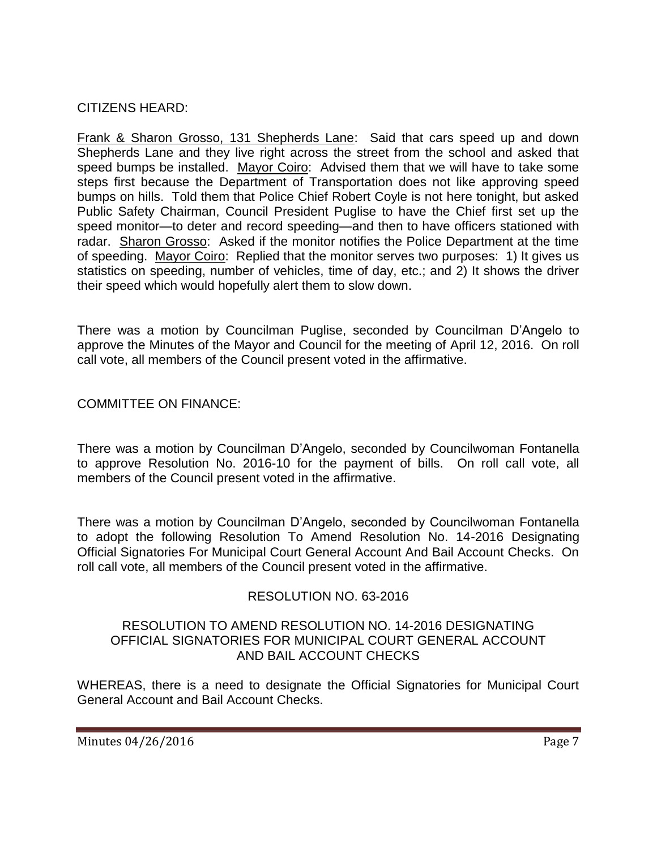CITIZENS HEARD:

Frank & Sharon Grosso, 131 Shepherds Lane: Said that cars speed up and down Shepherds Lane and they live right across the street from the school and asked that speed bumps be installed. Mayor Coiro: Advised them that we will have to take some steps first because the Department of Transportation does not like approving speed bumps on hills. Told them that Police Chief Robert Coyle is not here tonight, but asked Public Safety Chairman, Council President Puglise to have the Chief first set up the speed monitor—to deter and record speeding—and then to have officers stationed with radar. Sharon Grosso: Asked if the monitor notifies the Police Department at the time of speeding. Mayor Coiro: Replied that the monitor serves two purposes: 1) It gives us statistics on speeding, number of vehicles, time of day, etc.; and 2) It shows the driver their speed which would hopefully alert them to slow down.

There was a motion by Councilman Puglise, seconded by Councilman D'Angelo to approve the Minutes of the Mayor and Council for the meeting of April 12, 2016. On roll call vote, all members of the Council present voted in the affirmative.

#### COMMITTEE ON FINANCE:

There was a motion by Councilman D'Angelo, seconded by Councilwoman Fontanella to approve Resolution No. 2016-10 for the payment of bills. On roll call vote, all members of the Council present voted in the affirmative.

There was a motion by Councilman D'Angelo, seconded by Councilwoman Fontanella to adopt the following Resolution To Amend Resolution No. 14-2016 Designating Official Signatories For Municipal Court General Account And Bail Account Checks. On roll call vote, all members of the Council present voted in the affirmative.

## RESOLUTION NO. 63-2016

#### RESOLUTION TO AMEND RESOLUTION NO. 14-2016 DESIGNATING OFFICIAL SIGNATORIES FOR MUNICIPAL COURT GENERAL ACCOUNT AND BAIL ACCOUNT CHECKS

WHEREAS, there is a need to designate the Official Signatories for Municipal Court General Account and Bail Account Checks.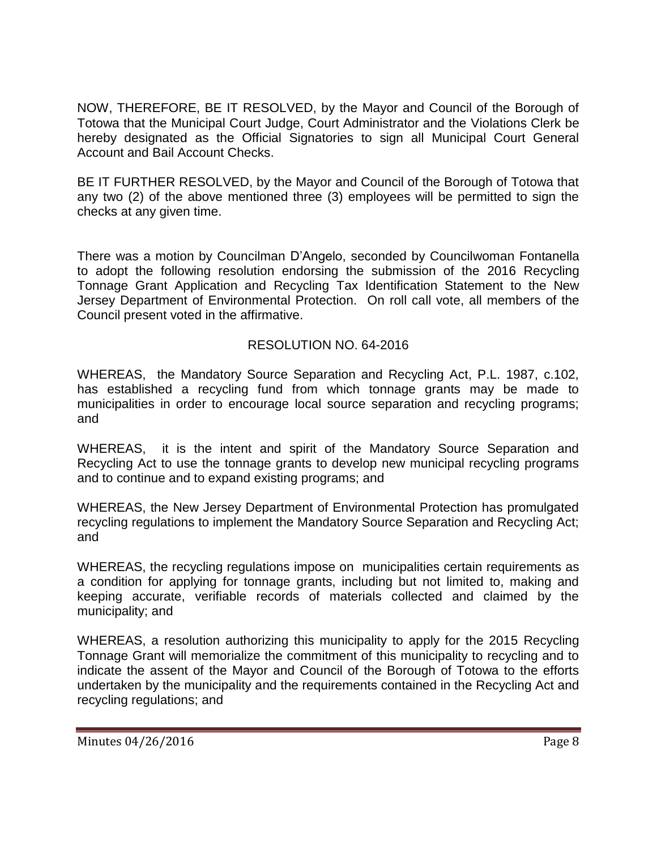NOW, THEREFORE, BE IT RESOLVED, by the Mayor and Council of the Borough of Totowa that the Municipal Court Judge, Court Administrator and the Violations Clerk be hereby designated as the Official Signatories to sign all Municipal Court General Account and Bail Account Checks.

BE IT FURTHER RESOLVED, by the Mayor and Council of the Borough of Totowa that any two (2) of the above mentioned three (3) employees will be permitted to sign the checks at any given time.

There was a motion by Councilman D'Angelo, seconded by Councilwoman Fontanella to adopt the following resolution endorsing the submission of the 2016 Recycling Tonnage Grant Application and Recycling Tax Identification Statement to the New Jersey Department of Environmental Protection. On roll call vote, all members of the Council present voted in the affirmative.

## RESOLUTION NO. 64-2016

WHEREAS, the Mandatory Source Separation and Recycling Act, P.L. 1987, c.102, has established a recycling fund from which tonnage grants may be made to municipalities in order to encourage local source separation and recycling programs; and

WHEREAS, it is the intent and spirit of the Mandatory Source Separation and Recycling Act to use the tonnage grants to develop new municipal recycling programs and to continue and to expand existing programs; and

WHEREAS, the New Jersey Department of Environmental Protection has promulgated recycling regulations to implement the Mandatory Source Separation and Recycling Act; and

WHEREAS, the recycling regulations impose on municipalities certain requirements as a condition for applying for tonnage grants, including but not limited to, making and keeping accurate, verifiable records of materials collected and claimed by the municipality; and

WHEREAS, a resolution authorizing this municipality to apply for the 2015 Recycling Tonnage Grant will memorialize the commitment of this municipality to recycling and to indicate the assent of the Mayor and Council of the Borough of Totowa to the efforts undertaken by the municipality and the requirements contained in the Recycling Act and recycling regulations; and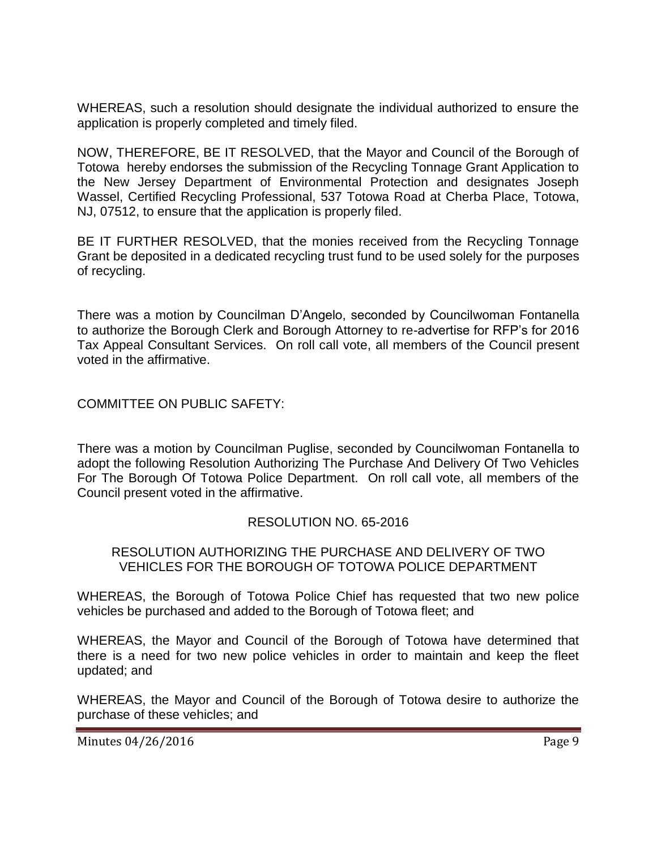WHEREAS, such a resolution should designate the individual authorized to ensure the application is properly completed and timely filed.

NOW, THEREFORE, BE IT RESOLVED, that the Mayor and Council of the Borough of Totowa hereby endorses the submission of the Recycling Tonnage Grant Application to the New Jersey Department of Environmental Protection and designates Joseph Wassel, Certified Recycling Professional, 537 Totowa Road at Cherba Place, Totowa, NJ, 07512, to ensure that the application is properly filed.

BE IT FURTHER RESOLVED, that the monies received from the Recycling Tonnage Grant be deposited in a dedicated recycling trust fund to be used solely for the purposes of recycling.

There was a motion by Councilman D'Angelo, seconded by Councilwoman Fontanella to authorize the Borough Clerk and Borough Attorney to re-advertise for RFP's for 2016 Tax Appeal Consultant Services. On roll call vote, all members of the Council present voted in the affirmative.

COMMITTEE ON PUBLIC SAFETY:

There was a motion by Councilman Puglise, seconded by Councilwoman Fontanella to adopt the following Resolution Authorizing The Purchase And Delivery Of Two Vehicles For The Borough Of Totowa Police Department. On roll call vote, all members of the Council present voted in the affirmative.

## RESOLUTION NO. 65-2016

#### RESOLUTION AUTHORIZING THE PURCHASE AND DELIVERY OF TWO VEHICLES FOR THE BOROUGH OF TOTOWA POLICE DEPARTMENT

WHEREAS, the Borough of Totowa Police Chief has requested that two new police vehicles be purchased and added to the Borough of Totowa fleet; and

WHEREAS, the Mayor and Council of the Borough of Totowa have determined that there is a need for two new police vehicles in order to maintain and keep the fleet updated; and

WHEREAS, the Mayor and Council of the Borough of Totowa desire to authorize the purchase of these vehicles; and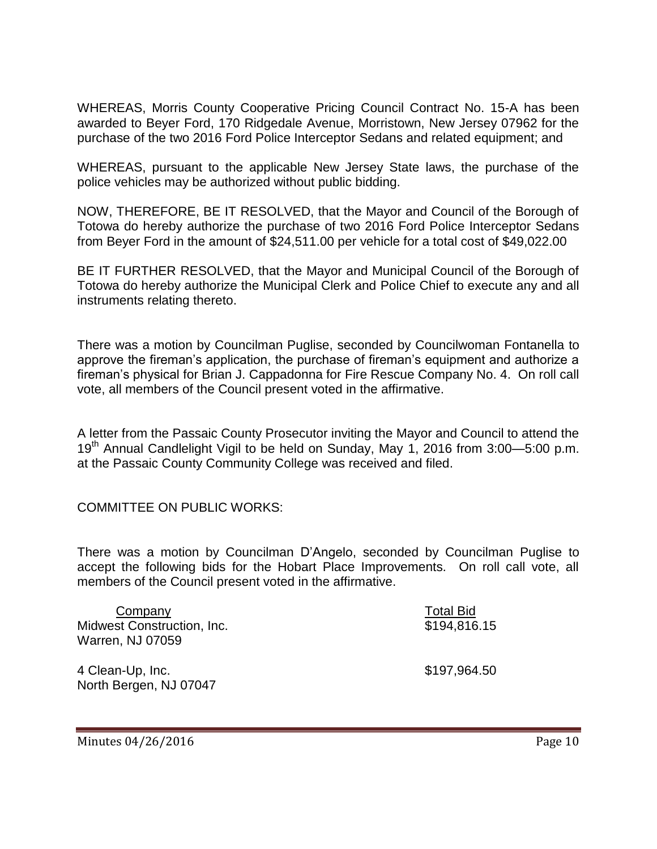WHEREAS, Morris County Cooperative Pricing Council Contract No. 15-A has been awarded to Beyer Ford, 170 Ridgedale Avenue, Morristown, New Jersey 07962 for the purchase of the two 2016 Ford Police Interceptor Sedans and related equipment; and

WHEREAS, pursuant to the applicable New Jersey State laws, the purchase of the police vehicles may be authorized without public bidding.

NOW, THEREFORE, BE IT RESOLVED, that the Mayor and Council of the Borough of Totowa do hereby authorize the purchase of two 2016 Ford Police Interceptor Sedans from Beyer Ford in the amount of \$24,511.00 per vehicle for a total cost of \$49,022.00

BE IT FURTHER RESOLVED, that the Mayor and Municipal Council of the Borough of Totowa do hereby authorize the Municipal Clerk and Police Chief to execute any and all instruments relating thereto.

There was a motion by Councilman Puglise, seconded by Councilwoman Fontanella to approve the fireman's application, the purchase of fireman's equipment and authorize a fireman's physical for Brian J. Cappadonna for Fire Rescue Company No. 4. On roll call vote, all members of the Council present voted in the affirmative.

A letter from the Passaic County Prosecutor inviting the Mayor and Council to attend the 19<sup>th</sup> Annual Candlelight Vigil to be held on Sunday, May 1, 2016 from 3:00-5:00 p.m. at the Passaic County Community College was received and filed.

COMMITTEE ON PUBLIC WORKS:

There was a motion by Councilman D'Angelo, seconded by Councilman Puglise to accept the following bids for the Hobart Place Improvements. On roll call vote, all members of the Council present voted in the affirmative.

| Company                           | <b>Total Bid</b> |
|-----------------------------------|------------------|
| <b>Midwest Construction, Inc.</b> | \$194,816.15     |
| Warren, NJ 07059                  |                  |
| 4 Clean-Up, Inc.                  | \$197,964.50     |
| North Bergen, NJ 07047            |                  |

Minutes 04/26/2016 **Page 10**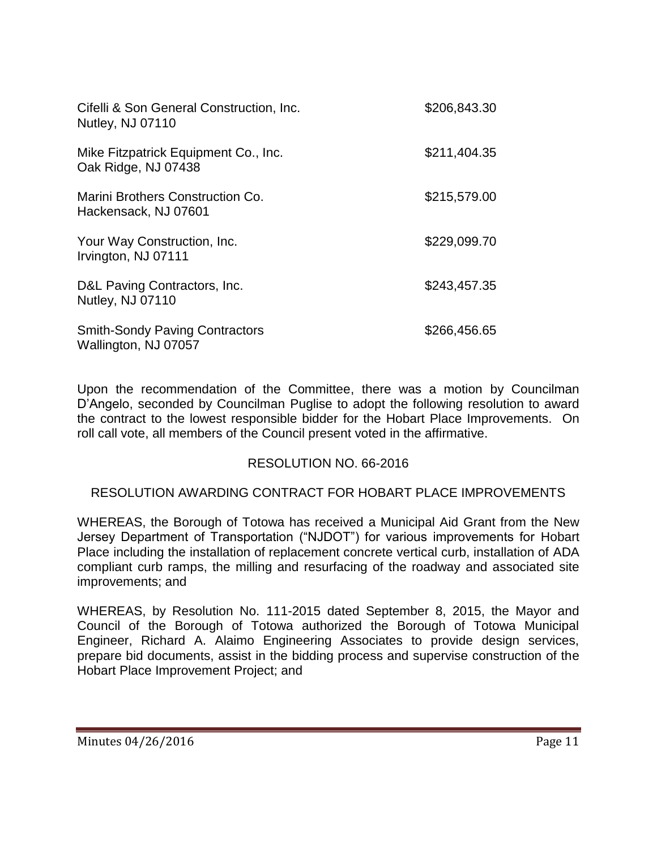| Cifelli & Son General Construction, Inc.<br>Nutley, NJ 07110  | \$206,843.30 |
|---------------------------------------------------------------|--------------|
| Mike Fitzpatrick Equipment Co., Inc.<br>Oak Ridge, NJ 07438   | \$211,404.35 |
| Marini Brothers Construction Co.<br>Hackensack, NJ 07601      | \$215,579.00 |
| Your Way Construction, Inc.<br>Irvington, NJ 07111            | \$229,099.70 |
| D&L Paving Contractors, Inc.<br>Nutley, NJ 07110              | \$243,457.35 |
| <b>Smith-Sondy Paving Contractors</b><br>Wallington, NJ 07057 | \$266,456.65 |

Upon the recommendation of the Committee, there was a motion by Councilman D'Angelo, seconded by Councilman Puglise to adopt the following resolution to award the contract to the lowest responsible bidder for the Hobart Place Improvements. On roll call vote, all members of the Council present voted in the affirmative.

## RESOLUTION NO. 66-2016

#### RESOLUTION AWARDING CONTRACT FOR HOBART PLACE IMPROVEMENTS

WHEREAS, the Borough of Totowa has received a Municipal Aid Grant from the New Jersey Department of Transportation ("NJDOT") for various improvements for Hobart Place including the installation of replacement concrete vertical curb, installation of ADA compliant curb ramps, the milling and resurfacing of the roadway and associated site improvements; and

WHEREAS, by Resolution No. 111-2015 dated September 8, 2015, the Mayor and Council of the Borough of Totowa authorized the Borough of Totowa Municipal Engineer, Richard A. Alaimo Engineering Associates to provide design services, prepare bid documents, assist in the bidding process and supervise construction of the Hobart Place Improvement Project; and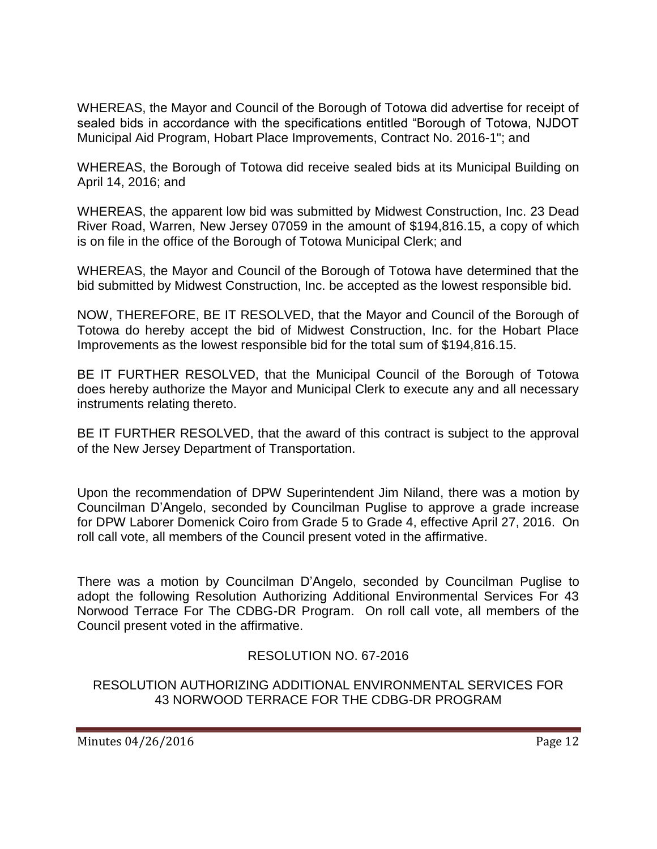WHEREAS, the Mayor and Council of the Borough of Totowa did advertise for receipt of sealed bids in accordance with the specifications entitled "Borough of Totowa, NJDOT Municipal Aid Program, Hobart Place Improvements, Contract No. 2016-1"; and

WHEREAS, the Borough of Totowa did receive sealed bids at its Municipal Building on April 14, 2016; and

WHEREAS, the apparent low bid was submitted by Midwest Construction, Inc. 23 Dead River Road, Warren, New Jersey 07059 in the amount of \$194,816.15, a copy of which is on file in the office of the Borough of Totowa Municipal Clerk; and

WHEREAS, the Mayor and Council of the Borough of Totowa have determined that the bid submitted by Midwest Construction, Inc. be accepted as the lowest responsible bid.

NOW, THEREFORE, BE IT RESOLVED, that the Mayor and Council of the Borough of Totowa do hereby accept the bid of Midwest Construction, Inc. for the Hobart Place Improvements as the lowest responsible bid for the total sum of \$194,816.15.

BE IT FURTHER RESOLVED, that the Municipal Council of the Borough of Totowa does hereby authorize the Mayor and Municipal Clerk to execute any and all necessary instruments relating thereto.

BE IT FURTHER RESOLVED, that the award of this contract is subject to the approval of the New Jersey Department of Transportation.

Upon the recommendation of DPW Superintendent Jim Niland, there was a motion by Councilman D'Angelo, seconded by Councilman Puglise to approve a grade increase for DPW Laborer Domenick Coiro from Grade 5 to Grade 4, effective April 27, 2016. On roll call vote, all members of the Council present voted in the affirmative.

There was a motion by Councilman D'Angelo, seconded by Councilman Puglise to adopt the following Resolution Authorizing Additional Environmental Services For 43 Norwood Terrace For The CDBG-DR Program. On roll call vote, all members of the Council present voted in the affirmative.

## RESOLUTION NO. 67-2016

#### RESOLUTION AUTHORIZING ADDITIONAL ENVIRONMENTAL SERVICES FOR 43 NORWOOD TERRACE FOR THE CDBG-DR PROGRAM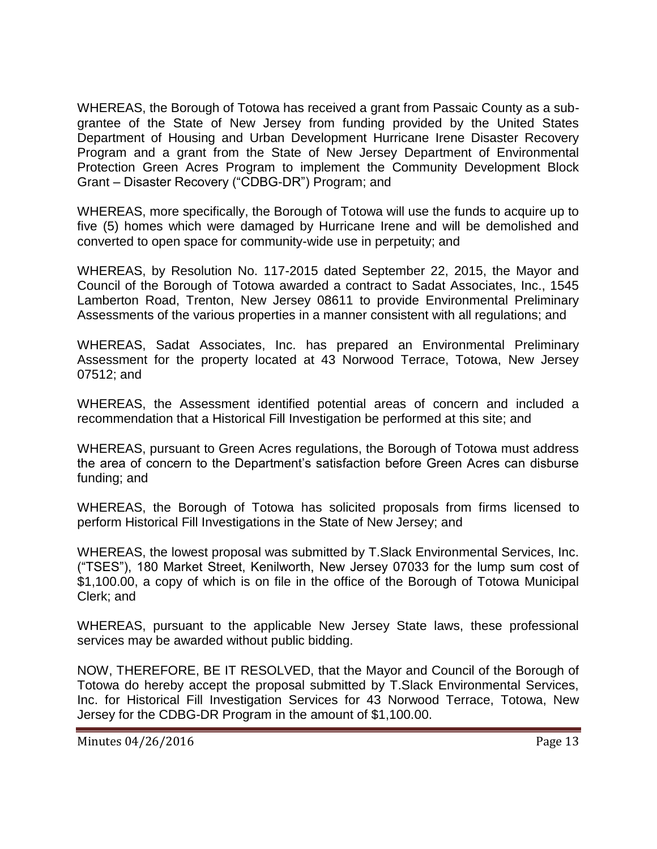WHEREAS, the Borough of Totowa has received a grant from Passaic County as a subgrantee of the State of New Jersey from funding provided by the United States Department of Housing and Urban Development Hurricane Irene Disaster Recovery Program and a grant from the State of New Jersey Department of Environmental Protection Green Acres Program to implement the Community Development Block Grant – Disaster Recovery ("CDBG-DR") Program; and

WHEREAS, more specifically, the Borough of Totowa will use the funds to acquire up to five (5) homes which were damaged by Hurricane Irene and will be demolished and converted to open space for community-wide use in perpetuity; and

WHEREAS, by Resolution No. 117-2015 dated September 22, 2015, the Mayor and Council of the Borough of Totowa awarded a contract to Sadat Associates, Inc., 1545 Lamberton Road, Trenton, New Jersey 08611 to provide Environmental Preliminary Assessments of the various properties in a manner consistent with all regulations; and

WHEREAS, Sadat Associates, Inc. has prepared an Environmental Preliminary Assessment for the property located at 43 Norwood Terrace, Totowa, New Jersey 07512; and

WHEREAS, the Assessment identified potential areas of concern and included a recommendation that a Historical Fill Investigation be performed at this site; and

WHEREAS, pursuant to Green Acres regulations, the Borough of Totowa must address the area of concern to the Department's satisfaction before Green Acres can disburse funding; and

WHEREAS, the Borough of Totowa has solicited proposals from firms licensed to perform Historical Fill Investigations in the State of New Jersey; and

WHEREAS, the lowest proposal was submitted by T.Slack Environmental Services, Inc. ("TSES"), 180 Market Street, Kenilworth, New Jersey 07033 for the lump sum cost of \$1,100.00, a copy of which is on file in the office of the Borough of Totowa Municipal Clerk; and

WHEREAS, pursuant to the applicable New Jersey State laws, these professional services may be awarded without public bidding.

NOW, THEREFORE, BE IT RESOLVED, that the Mayor and Council of the Borough of Totowa do hereby accept the proposal submitted by T.Slack Environmental Services, Inc. for Historical Fill Investigation Services for 43 Norwood Terrace, Totowa, New Jersey for the CDBG-DR Program in the amount of \$1,100.00.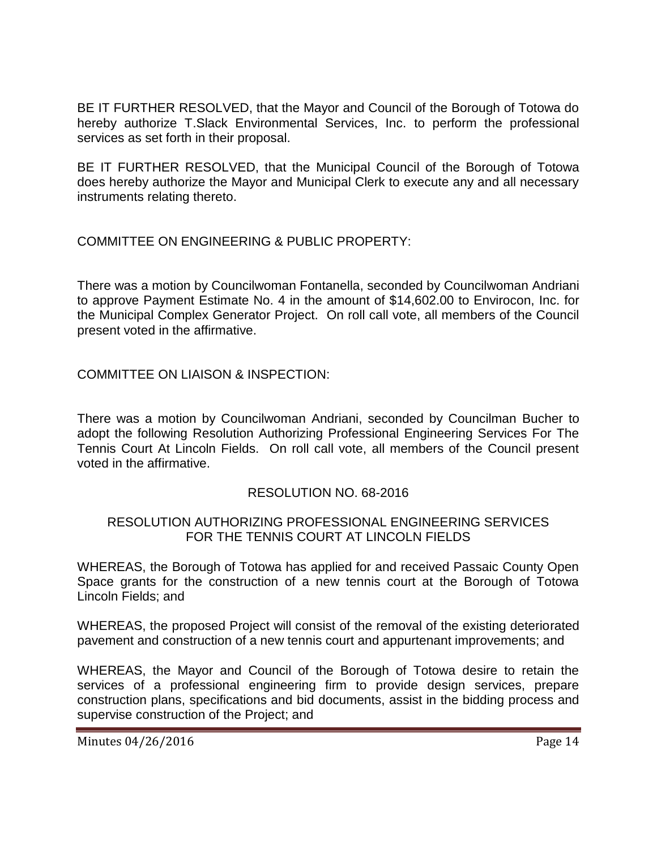BE IT FURTHER RESOLVED, that the Mayor and Council of the Borough of Totowa do hereby authorize T.Slack Environmental Services, Inc. to perform the professional services as set forth in their proposal.

BE IT FURTHER RESOLVED, that the Municipal Council of the Borough of Totowa does hereby authorize the Mayor and Municipal Clerk to execute any and all necessary instruments relating thereto.

COMMITTEE ON ENGINEERING & PUBLIC PROPERTY:

There was a motion by Councilwoman Fontanella, seconded by Councilwoman Andriani to approve Payment Estimate No. 4 in the amount of \$14,602.00 to Envirocon, Inc. for the Municipal Complex Generator Project. On roll call vote, all members of the Council present voted in the affirmative.

COMMITTEE ON LIAISON & INSPECTION:

There was a motion by Councilwoman Andriani, seconded by Councilman Bucher to adopt the following Resolution Authorizing Professional Engineering Services For The Tennis Court At Lincoln Fields. On roll call vote, all members of the Council present voted in the affirmative.

## RESOLUTION NO. 68-2016

## RESOLUTION AUTHORIZING PROFESSIONAL ENGINEERING SERVICES FOR THE TENNIS COURT AT LINCOLN FIELDS

WHEREAS, the Borough of Totowa has applied for and received Passaic County Open Space grants for the construction of a new tennis court at the Borough of Totowa Lincoln Fields; and

WHEREAS, the proposed Project will consist of the removal of the existing deteriorated pavement and construction of a new tennis court and appurtenant improvements; and

WHEREAS, the Mayor and Council of the Borough of Totowa desire to retain the services of a professional engineering firm to provide design services, prepare construction plans, specifications and bid documents, assist in the bidding process and supervise construction of the Project; and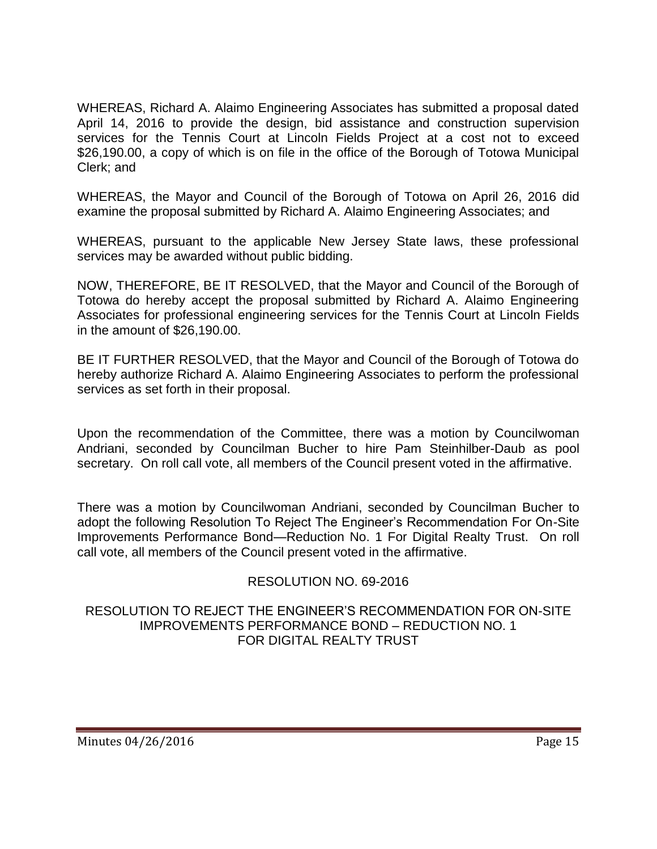WHEREAS, Richard A. Alaimo Engineering Associates has submitted a proposal dated April 14, 2016 to provide the design, bid assistance and construction supervision services for the Tennis Court at Lincoln Fields Project at a cost not to exceed \$26,190.00, a copy of which is on file in the office of the Borough of Totowa Municipal Clerk; and

WHEREAS, the Mayor and Council of the Borough of Totowa on April 26, 2016 did examine the proposal submitted by Richard A. Alaimo Engineering Associates; and

WHEREAS, pursuant to the applicable New Jersey State laws, these professional services may be awarded without public bidding.

NOW, THEREFORE, BE IT RESOLVED, that the Mayor and Council of the Borough of Totowa do hereby accept the proposal submitted by Richard A. Alaimo Engineering Associates for professional engineering services for the Tennis Court at Lincoln Fields in the amount of \$26,190.00.

BE IT FURTHER RESOLVED, that the Mayor and Council of the Borough of Totowa do hereby authorize Richard A. Alaimo Engineering Associates to perform the professional services as set forth in their proposal.

Upon the recommendation of the Committee, there was a motion by Councilwoman Andriani, seconded by Councilman Bucher to hire Pam Steinhilber-Daub as pool secretary. On roll call vote, all members of the Council present voted in the affirmative.

There was a motion by Councilwoman Andriani, seconded by Councilman Bucher to adopt the following Resolution To Reject The Engineer's Recommendation For On-Site Improvements Performance Bond—Reduction No. 1 For Digital Realty Trust. On roll call vote, all members of the Council present voted in the affirmative.

# RESOLUTION NO. 69-2016

### RESOLUTION TO REJECT THE ENGINEER'S RECOMMENDATION FOR ON-SITE IMPROVEMENTS PERFORMANCE BOND – REDUCTION NO. 1 FOR DIGITAL REALTY TRUST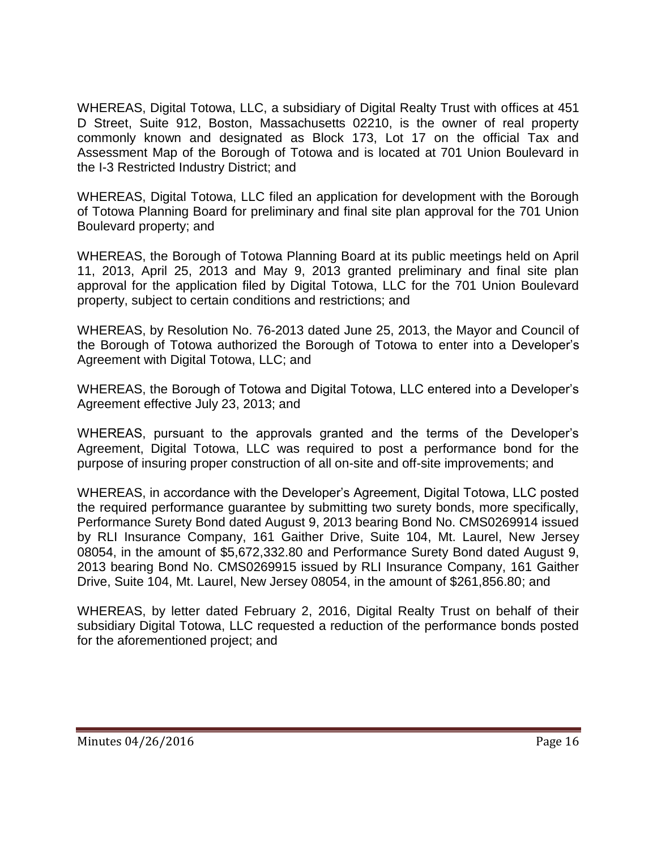WHEREAS, Digital Totowa, LLC, a subsidiary of Digital Realty Trust with offices at 451 D Street, Suite 912, Boston, Massachusetts 02210, is the owner of real property commonly known and designated as Block 173, Lot 17 on the official Tax and Assessment Map of the Borough of Totowa and is located at 701 Union Boulevard in the I-3 Restricted Industry District; and

WHEREAS, Digital Totowa, LLC filed an application for development with the Borough of Totowa Planning Board for preliminary and final site plan approval for the 701 Union Boulevard property; and

WHEREAS, the Borough of Totowa Planning Board at its public meetings held on April 11, 2013, April 25, 2013 and May 9, 2013 granted preliminary and final site plan approval for the application filed by Digital Totowa, LLC for the 701 Union Boulevard property, subject to certain conditions and restrictions; and

WHEREAS, by Resolution No. 76-2013 dated June 25, 2013, the Mayor and Council of the Borough of Totowa authorized the Borough of Totowa to enter into a Developer's Agreement with Digital Totowa, LLC; and

WHEREAS, the Borough of Totowa and Digital Totowa, LLC entered into a Developer's Agreement effective July 23, 2013; and

WHEREAS, pursuant to the approvals granted and the terms of the Developer's Agreement, Digital Totowa, LLC was required to post a performance bond for the purpose of insuring proper construction of all on-site and off-site improvements; and

WHEREAS, in accordance with the Developer's Agreement, Digital Totowa, LLC posted the required performance guarantee by submitting two surety bonds, more specifically, Performance Surety Bond dated August 9, 2013 bearing Bond No. CMS0269914 issued by RLI Insurance Company, 161 Gaither Drive, Suite 104, Mt. Laurel, New Jersey 08054, in the amount of \$5,672,332.80 and Performance Surety Bond dated August 9, 2013 bearing Bond No. CMS0269915 issued by RLI Insurance Company, 161 Gaither Drive, Suite 104, Mt. Laurel, New Jersey 08054, in the amount of \$261,856.80; and

WHEREAS, by letter dated February 2, 2016, Digital Realty Trust on behalf of their subsidiary Digital Totowa, LLC requested a reduction of the performance bonds posted for the aforementioned project; and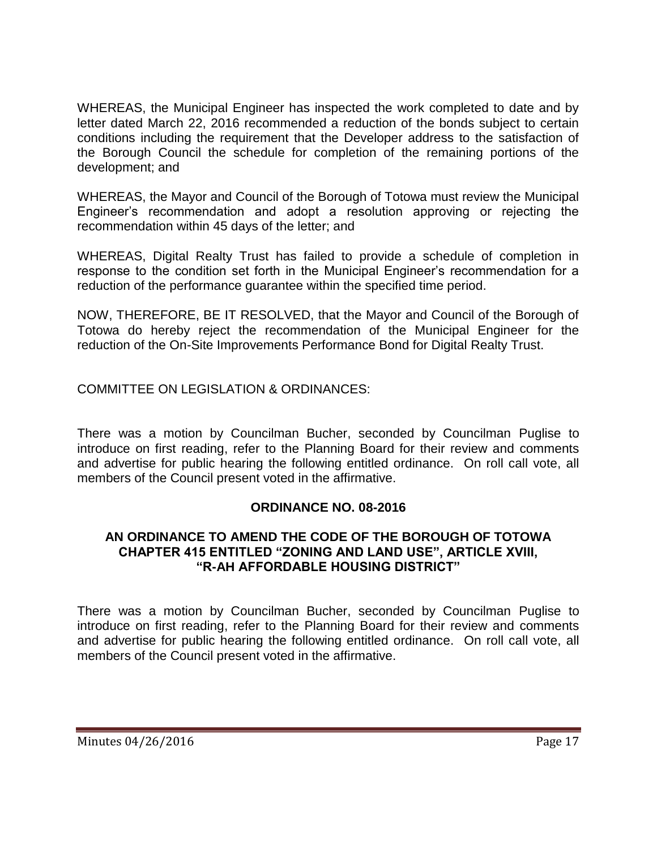WHEREAS, the Municipal Engineer has inspected the work completed to date and by letter dated March 22, 2016 recommended a reduction of the bonds subject to certain conditions including the requirement that the Developer address to the satisfaction of the Borough Council the schedule for completion of the remaining portions of the development; and

WHEREAS, the Mayor and Council of the Borough of Totowa must review the Municipal Engineer's recommendation and adopt a resolution approving or rejecting the recommendation within 45 days of the letter; and

WHEREAS, Digital Realty Trust has failed to provide a schedule of completion in response to the condition set forth in the Municipal Engineer's recommendation for a reduction of the performance guarantee within the specified time period.

NOW, THEREFORE, BE IT RESOLVED, that the Mayor and Council of the Borough of Totowa do hereby reject the recommendation of the Municipal Engineer for the reduction of the On-Site Improvements Performance Bond for Digital Realty Trust.

COMMITTEE ON LEGISLATION & ORDINANCES:

There was a motion by Councilman Bucher, seconded by Councilman Puglise to introduce on first reading, refer to the Planning Board for their review and comments and advertise for public hearing the following entitled ordinance. On roll call vote, all members of the Council present voted in the affirmative.

## **ORDINANCE NO. 08-2016**

#### **AN ORDINANCE TO AMEND THE CODE OF THE BOROUGH OF TOTOWA CHAPTER 415 ENTITLED "ZONING AND LAND USE", ARTICLE XVIII, "R-AH AFFORDABLE HOUSING DISTRICT"**

There was a motion by Councilman Bucher, seconded by Councilman Puglise to introduce on first reading, refer to the Planning Board for their review and comments and advertise for public hearing the following entitled ordinance. On roll call vote, all members of the Council present voted in the affirmative.